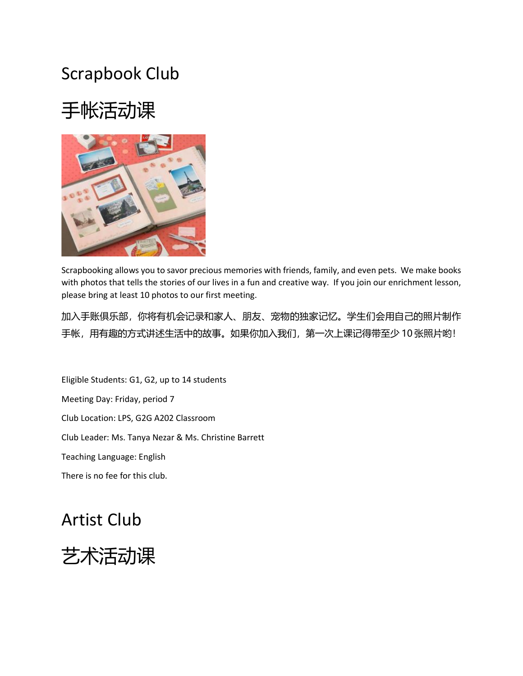# Scrapbook Club

# 手帐活动课



Scrapbooking allows you to savor precious memories with friends, family, and even pets. We make books with photos that tells the stories of our lives in a fun and creative way. If you join our enrichment lesson, please bring at least 10 photos to our first meeting.

加入手账俱乐部,你将有机会记录和家人、朋友、宠物的独家记忆。学生们会用自己的照片制作 手帐,用有趣的方式讲述生活中的故事。如果你加入我们,第一次上课记得带至少 10 张照片哟!

Eligible Students: G1, G2, up to 14 students Meeting Day: Friday, period 7 Club Location: LPS, G2G A202 Classroom Club Leader: Ms. Tanya Nezar & Ms. Christine Barrett Teaching Language: English There is no fee for this club.

Artist Club

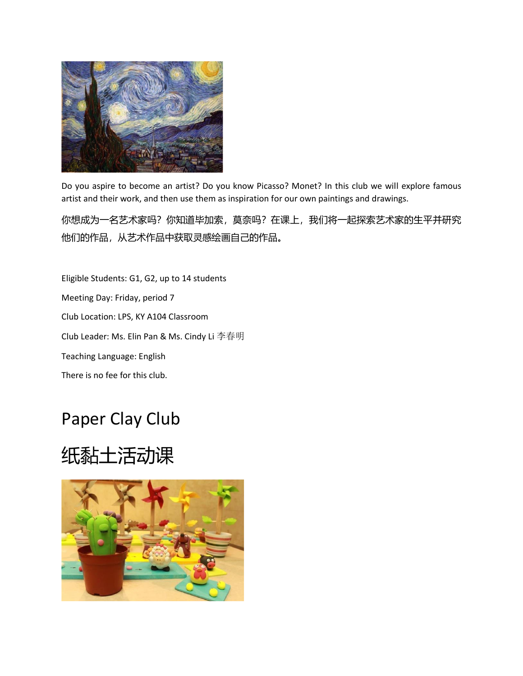

Do you aspire to become an artist? Do you know Picasso? Monet? In this club we will explore famous artist and their work, and then use them as inspiration for our own paintings and drawings.

你想成为一名艺术家吗?你知道毕加索,莫奈吗?在课上,我们将一起探索艺术家的生平并研究 他们的作品,从艺术作品中获取灵感绘画自己的作品。

Eligible Students: G1, G2, up to 14 students Meeting Day: Friday, period 7 Club Location: LPS, KY A104 Classroom Club Leader: Ms. Elin Pan & Ms. Cindy Li 李春明 Teaching Language: English There is no fee for this club.

# Paper Clay Club

# 纸黏土活动课

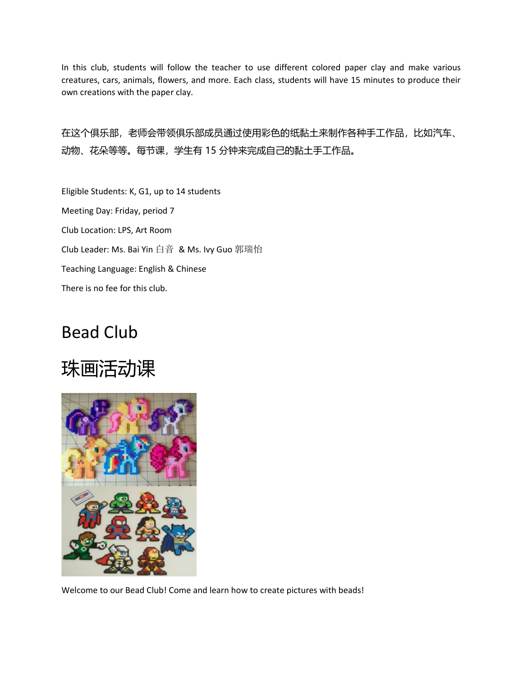In this club, students will follow the teacher to use different colored paper clay and make various creatures, cars, animals, flowers, and more. Each class, students will have 15 minutes to produce their own creations with the paper clay.

在这个俱乐部,老师会带领俱乐部成员通过使用彩色的纸黏土来制作各种手工作品,比如汽车、 动物、花朵等等。每节课,学生有 15 分钟来完成自己的黏土手工作品。

Eligible Students: K, G1, up to 14 students Meeting Day: Friday, period 7 Club Location: LPS, Art Room Club Leader: Ms. Bai Yin 白音 & Ms. Ivy Guo 郭瑞怡 Teaching Language: English & Chinese There is no fee for this club.

#### Bead Club

# 珠画活动课



Welcome to our Bead Club! Come and learn how to create pictures with beads!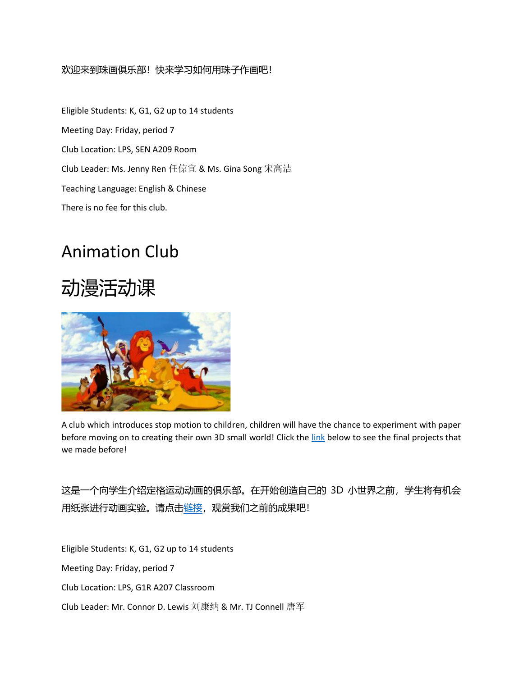#### 欢迎来到珠画俱乐部!快来学习如何用珠子作画吧!

Eligible Students: K, G1, G2 up to 14 students Meeting Day: Friday, period 7 Club Location: LPS, SEN A209 Room Club Leader: Ms. Jenny Ren 任倞宜 & Ms. Gina Song 宋高洁 Teaching Language: English & Chinese There is no fee for this club.

## Animation Club





A club which introduces stop motion to children, children will have the chance to experiment with paper before moving on to creating their own 3D small world! Click the [link](https://app.seesaw.me/#/item/item.d79bd94c-82aa-4550-a4ce-731bc95f4138/share/VrKgzo80QgGEdGE8kg6aqA) below to see the final projects that we made before!

这是一个向学生介绍定格运动动画的俱乐部。在开始创造自己的 3D 小世界之前, 学生将有机会 用纸张进行动画实验。请点[击链接,](https://app.seesaw.me/#/item/item.d79bd94c-82aa-4550-a4ce-731bc95f4138/share/VrKgzo80QgGEdGE8kg6aqA) 观赏我们之前的成果吧!

Eligible Students: K, G1, G2 up to 14 students

Meeting Day: Friday, period 7

Club Location: LPS, G1R A207 Classroom

Club Leader: Mr. Connor D. Lewis 刘康纳 & Mr. TJ Connell 唐军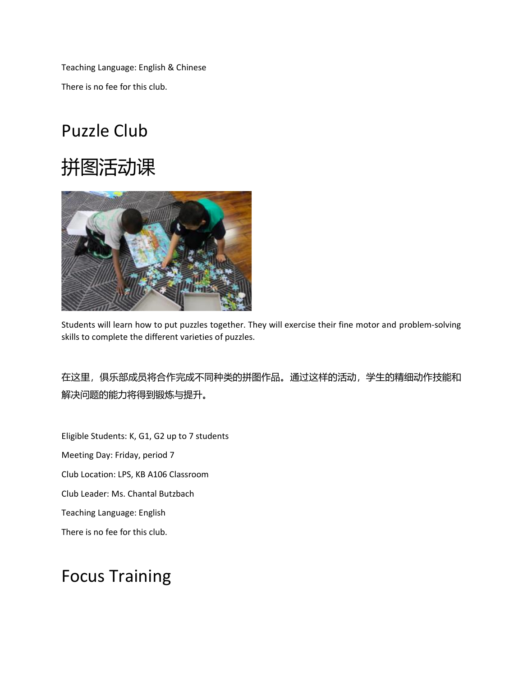Teaching Language: English & Chinese There is no fee for this club.

# Puzzle Club





Students will learn how to put puzzles together. They will exercise their fine motor and problem-solving skills to complete the different varieties of puzzles.

在这里,俱乐部成员将合作完成不同种类的拼图作品。通过这样的活动,学生的精细动作技能和 解决问题的能力将得到锻炼与提升。

Eligible Students: K, G1, G2 up to 7 students Meeting Day: Friday, period 7 Club Location: LPS, KB A106 Classroom Club Leader: Ms. Chantal Butzbach Teaching Language: English There is no fee for this club.

### Focus Training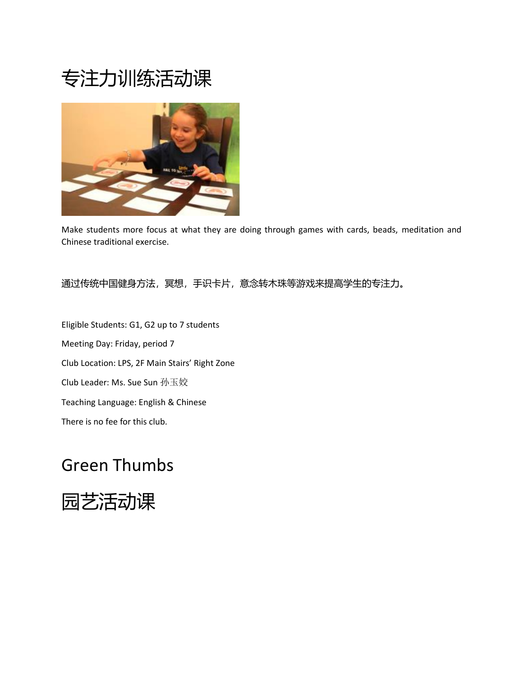# 专注力训练活动课



Make students more focus at what they are doing through games with cards, beads, meditation and Chinese traditional exercise.

#### 通过传统中国健身方法,冥想,手识卡片,意念转木珠等游戏来提高学生的专注力。

Eligible Students: G1, G2 up to 7 students Meeting Day: Friday, period 7 Club Location: LPS, 2F Main Stairs' Right Zone Club Leader: Ms. Sue Sun 孙玉姣 Teaching Language: English & Chinese There is no fee for this club.

### Green Thumbs

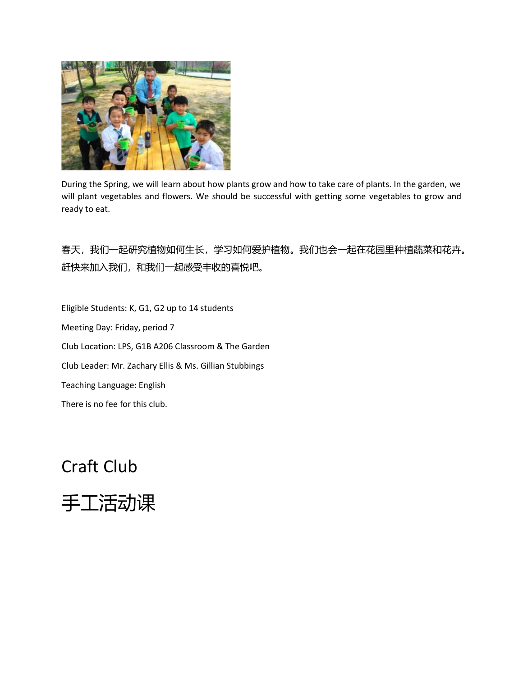

During the Spring, we will learn about how plants grow and how to take care of plants. In the garden, we will plant vegetables and flowers. We should be successful with getting some vegetables to grow and ready to eat.

春天,我们一起研究植物如何生长,学习如何爱护植物。我们也会一起在花园里种植蔬菜和花卉。 赶快来加入我们,和我们一起感受丰收的喜悦吧。

Eligible Students: K, G1, G2 up to 14 students Meeting Day: Friday, period 7 Club Location: LPS, G1B A206 Classroom & The Garden Club Leader: Mr. Zachary Ellis & Ms. Gillian Stubbings Teaching Language: English There is no fee for this club.

### Craft Club

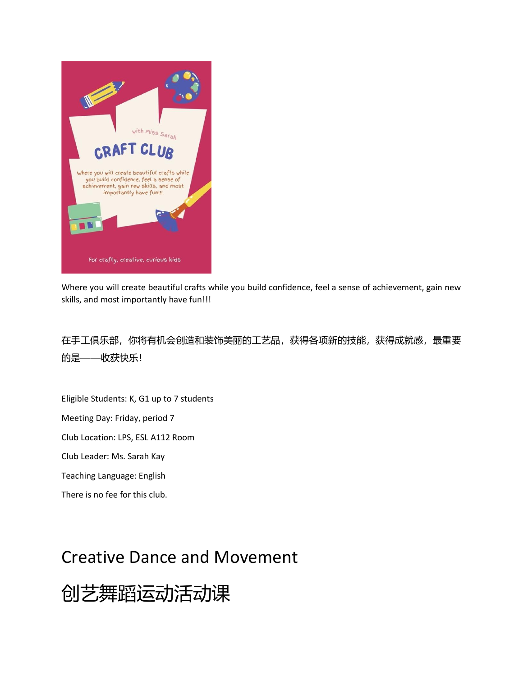

Where you will create beautiful crafts while you build confidence, feel a sense of achievement, gain new skills, and most importantly have fun!!!

在手工俱乐部,你将有机会创造和装饰美丽的工艺品,获得各项新的技能,获得成就感,最重要 的是——收获快乐!

Eligible Students: K, G1 up to 7 students

Meeting Day: Friday, period 7

Club Location: LPS, ESL A112 Room

Club Leader: Ms. Sarah Kay

Teaching Language: English

There is no fee for this club.

#### Creative Dance and Movement

创艺舞蹈运动活动课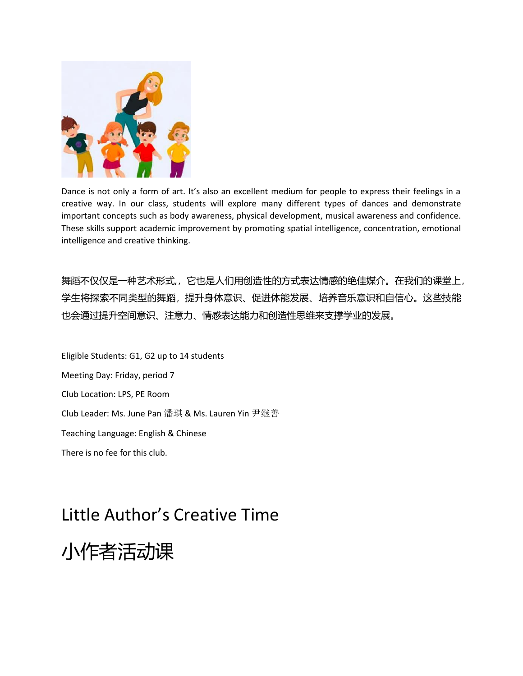

Dance is not only a form of art. It's also an excellent medium for people to express their feelings in a creative way. In our class, students will explore many different types of dances and demonstrate important concepts such as body awareness, physical development, musical awareness and confidence. These skills support academic improvement by promoting spatial intelligence, concentration, emotional intelligence and creative thinking.

舞蹈不仅仅是一种艺术形式,,它也是人们用创造性的方式表达情感的绝佳媒介。在我们的课堂上, 学生将探索不同类型的舞蹈,提升身体意识、促进体能发展、培养音乐意识和自信心。这些技能 也会通过提升空间意识、注意力、情感表达能力和创造性思维来支撑学业的发展。

Eligible Students: G1, G2 up to 14 students Meeting Day: Friday, period 7 Club Location: LPS, PE Room Club Leader: Ms. June Pan 潘琪 & Ms. Lauren Yin 尹继善 Teaching Language: English & Chinese There is no fee for this club.

## Little Author's Creative Time

小作者活动课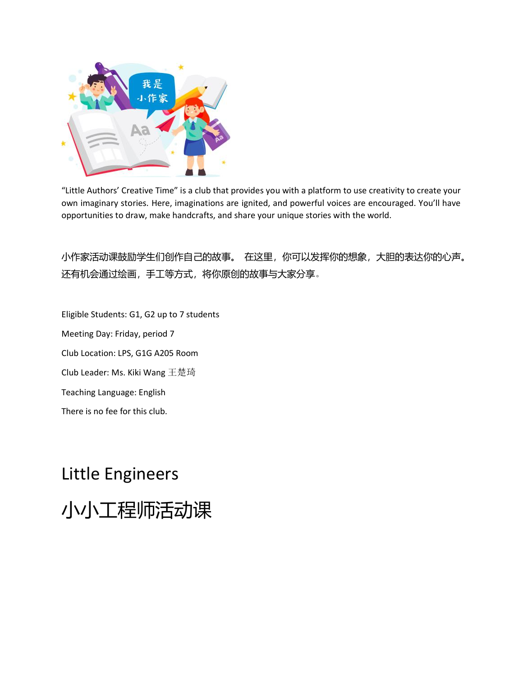

"Little Authors' Creative Time" is a club that provides you with a platform to use creativity to create your own imaginary stories. Here, imaginations are ignited, and powerful voices are encouraged. You'll have opportunities to draw, make handcrafts, and share your unique stories with the world.

小作家活动课鼓励学生们创作自己的故事。 在这里,你可以发挥你的想象,大胆的表达你的心声。 还有机会通过绘画,手工等方式,将你原创的故事与大家分享。

Eligible Students: G1, G2 up to 7 students Meeting Day: Friday, period 7 Club Location: LPS, G1G A205 Room Club Leader: Ms. Kiki Wang 王楚琦 Teaching Language: English There is no fee for this club.

# Little Engineers

小小工程师活动课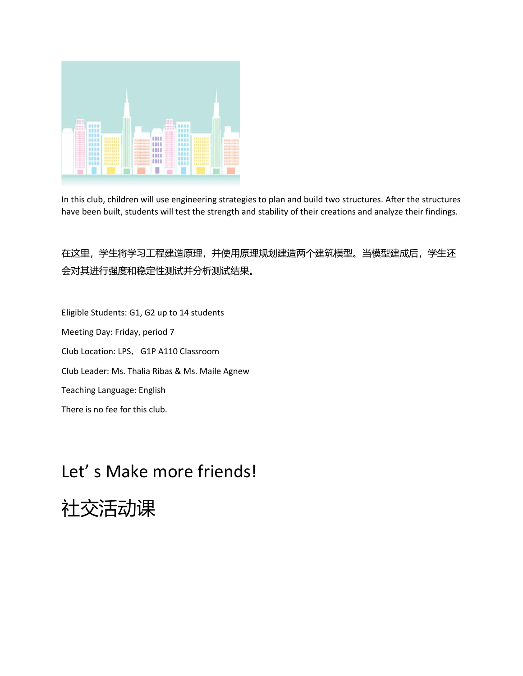

In this club, children will use engineering strategies to plan and build two structures. After the structures have been built, students will test the strength and stability of their creations and analyze their findings.

在这里,学生将学习工程建造原理,并使用原理规划建造两个建筑模型。当模型建成后,学生还 会对其进行强度和稳定性测试并分析测试结果。

Eligible Students: G1, G2 up to 14 students Meeting Day: Friday, period 7 Club Location: LPS, G1P A110 Classroom Club Leader: Ms. Thalia Ribas & Ms. Maile Agnew Teaching Language: English There is no fee for this club.

## Let' s Make more friends!

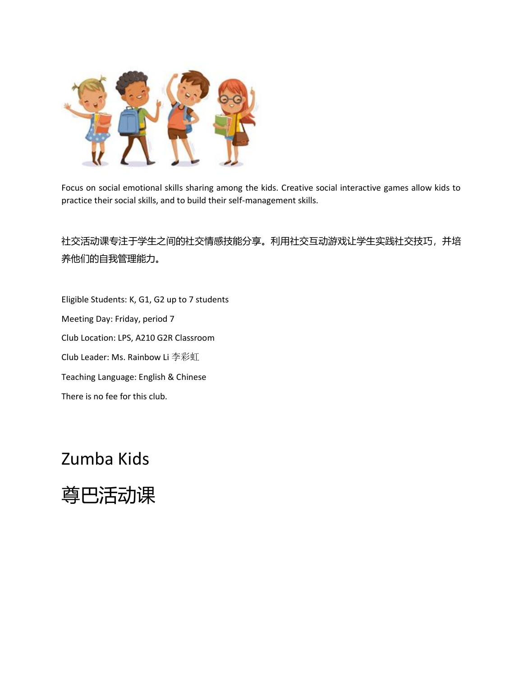

Focus on social emotional skills sharing among the kids. Creative social interactive games allow kids to practice their social skills, and to build their self-management skills.

社交活动课专注于学生之间的社交情感技能分享。利用社交互动游戏让学生实践社交技巧,并培 养他们的自我管理能力。

Eligible Students: K, G1, G2 up to 7 students Meeting Day: Friday, period 7 Club Location: LPS, A210 G2R Classroom Club Leader: Ms. Rainbow Li 李彩虹 Teaching Language: English & Chinese There is no fee for this club.

#### Zumba Kids

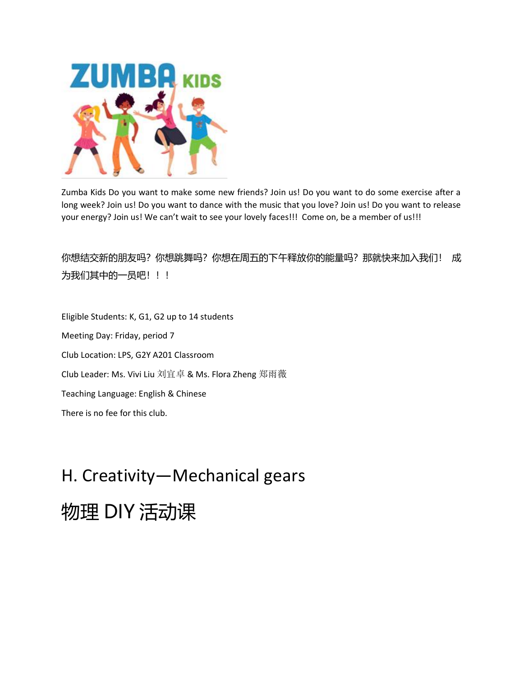

Zumba Kids Do you want to make some new friends? Join us! Do you want to do some exercise after a long week? Join us! Do you want to dance with the music that you love? Join us! Do you want to release your energy? Join us! We can't wait to see your lovely faces!!! Come on, be a member of us!!!

你想结交新的朋友吗?你想跳舞吗?你想在周五的下午释放你的能量吗?那就快来加入我们! 成 为我们其中的一员吧!!!

Eligible Students: K, G1, G2 up to 14 students Meeting Day: Friday, period 7 Club Location: LPS, G2Y A201 Classroom Club Leader: Ms. Vivi Liu 刘宜卓 & Ms. Flora Zheng 郑雨薇 Teaching Language: English & Chinese There is no fee for this club.

# H. Creativity—Mechanical gears

# 物理 DIY 活动课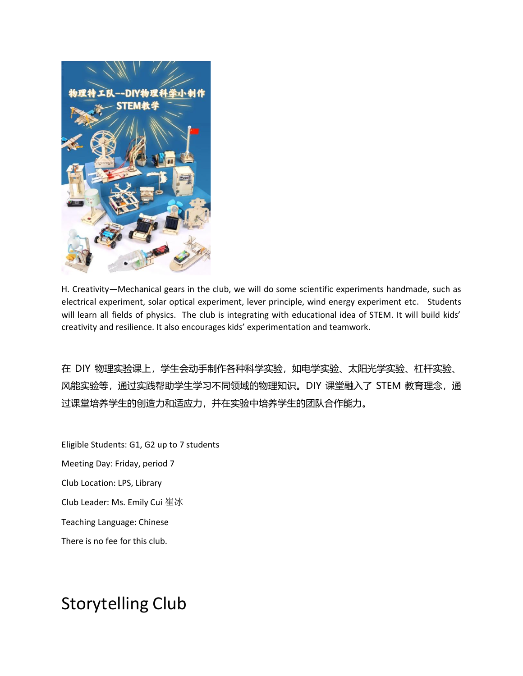

H. Creativity—Mechanical gears in the club, we will do some scientific experiments handmade, such as electrical experiment, solar optical experiment, lever principle, wind energy experiment etc. Students will learn all fields of physics. The club is integrating with educational idea of STEM. It will build kids' creativity and resilience. It also encourages kids' experimentation and teamwork.

在 DIY 物理实验课上,学生会动手制作各种科学实验,如电学实验、太阳光学实验、杠杆实验、 风能实验等, 通过实践帮助学生学习不同领域的物理知识。DIY 课堂融入了 STEM 教育理念, 通 过课堂培养学生的创造力和适应力,并在实验中培养学生的团队合作能力。

Eligible Students: G1, G2 up to 7 students Meeting Day: Friday, period 7 Club Location: LPS, Library Club Leader: Ms. Emily Cui 崔冰 Teaching Language: Chinese There is no fee for this club.

## Storytelling Club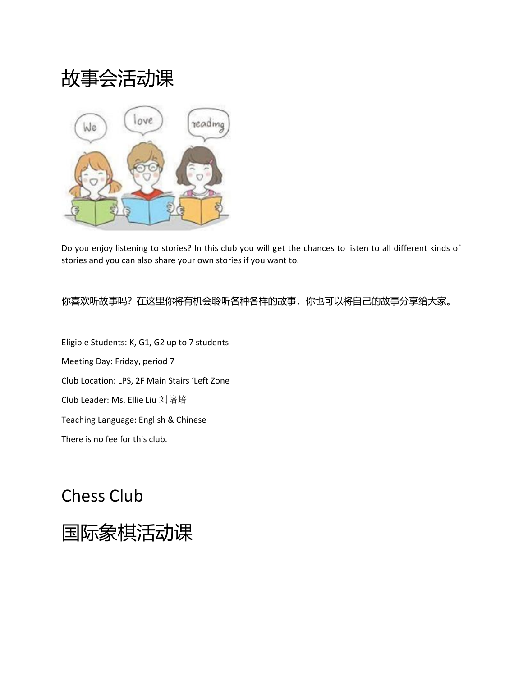故事会活动课



Do you enjoy listening to stories? In this club you will get the chances to listen to all different kinds of stories and you can also share your own stories if you want to.

你喜欢听故事吗?在这里你将有机会聆听各种各样的故事,你也可以将自己的故事分享给大家。

Eligible Students: K, G1, G2 up to 7 students Meeting Day: Friday, period 7 Club Location: LPS, 2F Main Stairs 'Left Zone Club Leader: Ms. Ellie Liu 刘培培 Teaching Language: English & Chinese There is no fee for this club.

# Chess Club

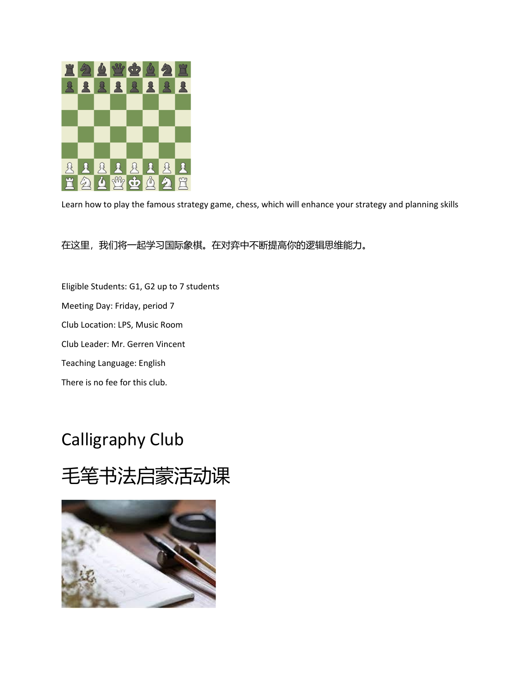

Learn how to play the famous strategy game, chess, which will enhance your strategy and planning skills

#### 在这里,我们将一起学习国际象棋。在对弈中不断提高你的逻辑思维能力。

Eligible Students: G1, G2 up to 7 students Meeting Day: Friday, period 7 Club Location: LPS, Music Room Club Leader: Mr. Gerren Vincent Teaching Language: English There is no fee for this club.

## Calligraphy Club

# 毛笔书法启蒙活动课

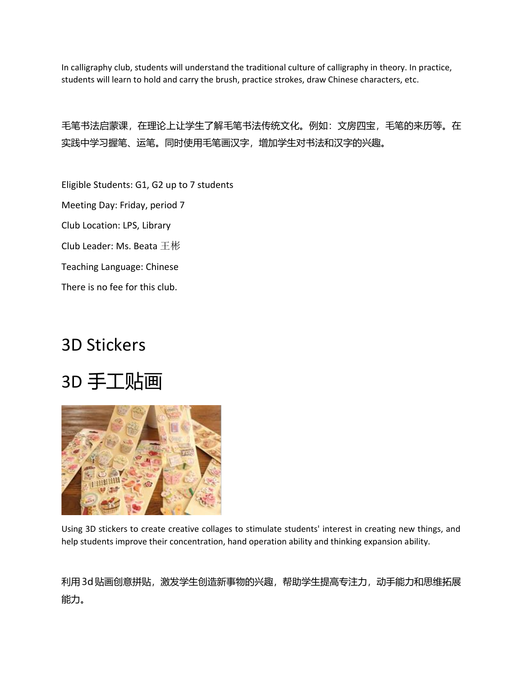In calligraphy club, students will understand the traditional culture of calligraphy in theory. In practice, students will learn to hold and carry the brush, practice strokes, draw Chinese characters, etc.

毛笔书法启蒙课,在理论上让学生了解毛笔书法传统文化。例如:文房四宝,毛笔的来历等。在 实践中学习握笔、运笔。同时使用毛笔画汉字,增加学生对书法和汉字的兴趣。

Eligible Students: G1, G2 up to 7 students Meeting Day: Friday, period 7 Club Location: LPS, Library Club Leader: Ms. Beata 王彬 Teaching Language: Chinese There is no fee for this club.

## 3D Stickers





Using 3D stickers to create creative collages to stimulate students' interest in creating new things, and help students improve their concentration, hand operation ability and thinking expansion ability.

利用3d贴画创意拼贴,激发学生创造新事物的兴趣,帮助学生提高专注力,动手能力和思维拓展 能力。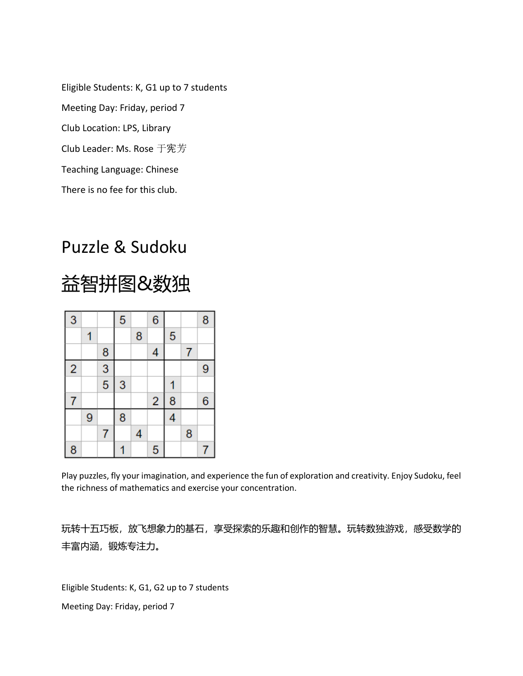Eligible Students: K, G1 up to 7 students Meeting Day: Friday, period 7 Club Location: LPS, Library Club Leader: Ms. Rose 于宪芳 Teaching Language: Chinese There is no fee for this club.

#### Puzzle & Sudoku

# 益智拼图&数独

| 3              |   |               | 5 |   | 6                       |   |   | 8 |
|----------------|---|---------------|---|---|-------------------------|---|---|---|
|                |   |               |   | 8 |                         | 5 |   |   |
|                |   | 8             |   |   | 4                       |   | 7 |   |
| $\overline{2}$ |   | $\frac{3}{5}$ |   |   |                         |   |   | 9 |
|                |   |               | 3 |   |                         |   |   |   |
| 7              |   |               |   |   | $\overline{\mathbf{c}}$ | 8 |   | 6 |
|                | 9 |               | 8 |   |                         | 4 |   |   |
|                |   | 7             |   | 4 |                         |   | 8 |   |
| 8              |   |               |   |   | 5                       |   |   | 7 |

Play puzzles, fly your imagination, and experience the fun of exploration and creativity. Enjoy Sudoku, feel the richness of mathematics and exercise your concentration.

玩转十五巧板,放飞想象力的基石,享受探索的乐趣和创作的智慧。玩转数独游戏,感受数学的 丰富内涵,锻炼专注力。

Eligible Students: K, G1, G2 up to 7 students Meeting Day: Friday, period 7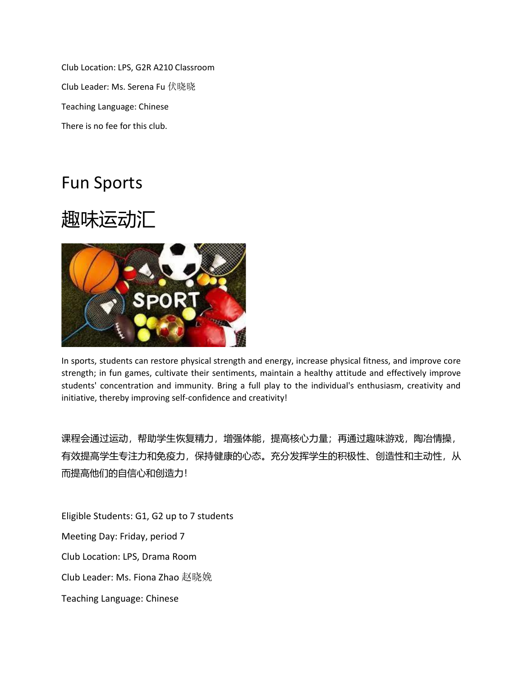Club Location: LPS, G2R A210 Classroom Club Leader: Ms. Serena Fu 伏晓晓 Teaching Language: Chinese There is no fee for this club.

### Fun Sports

# 趣味运动汇



In sports, students can restore physical strength and energy, increase physical fitness, and improve core strength; in fun games, cultivate their sentiments, maintain a healthy attitude and effectively improve students' concentration and immunity. Bring a full play to the individual's enthusiasm, creativity and initiative, thereby improving self-confidence and creativity!

课程会通过运动,帮助学生恢复精力,增强体能,提高核心力量;再通过趣味游戏,陶冶情操, 有效提高学生专注力和免疫力,保持健康的心态。充分发挥学生的积极性、创造性和主动性,从 而提高他们的自信心和创造力!

Eligible Students: G1, G2 up to 7 students

Meeting Day: Friday, period 7

Club Location: LPS, Drama Room

Club Leader: Ms. Fiona Zhao 赵晓娩

Teaching Language: Chinese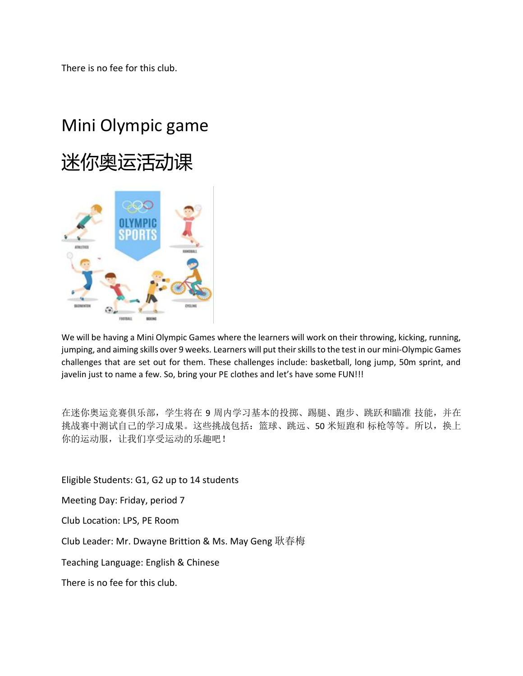There is no fee for this club.

# Mini Olympic game





We will be having a Mini Olympic Games where the learners will work on their throwing, kicking, running, jumping, and aiming skills over 9 weeks. Learners will put their skills to the test in our mini-Olympic Games challenges that are set out for them. These challenges include: basketball, long jump, 50m sprint, and javelin just to name a few. So, bring your PE clothes and let's have some FUN!!!

在迷你奥运竞赛俱乐部, 学生将在 9 周内学习基本的投掷、踢腿、跑步、跳跃和瞄准 技能, 并在 挑战赛中测试自己的学习成果。这些挑战包括:篮球、跳远、50 米短跑和 标枪等等。所以,换上 你的运动服,让我们享受运动的乐趣吧!

Eligible Students: G1, G2 up to 14 students

Meeting Day: Friday, period 7

Club Location: LPS, PE Room

Club Leader: Mr. Dwayne Brittion & Ms. May Geng 耿春梅

Teaching Language: English & Chinese

There is no fee for this club.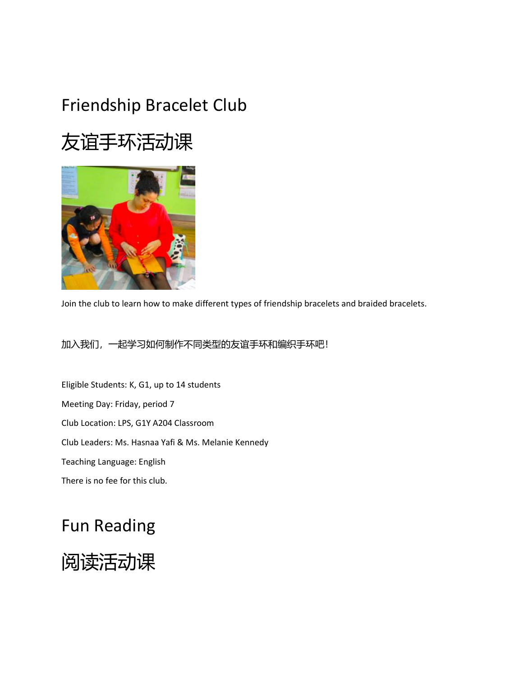# Friendship Bracelet Club

# 友谊手环活动课



Join the club to learn how to make different types of friendship bracelets and braided bracelets.

加入我们,一起学习如何制作不同类型的友谊手环和编织手环吧!

Eligible Students: K, G1, up to 14 students Meeting Day: Friday, period 7 Club Location: LPS, G1Y A204 Classroom Club Leaders: Ms. Hasnaa Yafi & Ms. Melanie Kennedy Teaching Language: English There is no fee for this club.

## Fun Reading

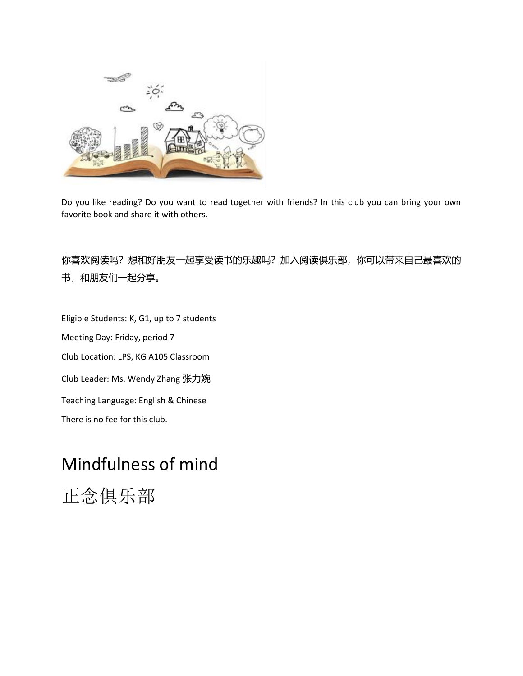

Do you like reading? Do you want to read together with friends? In this club you can bring your own favorite book and share it with others.

你喜欢阅读吗?想和好朋友一起享受读书的乐趣吗?加入阅读俱乐部,你可以带来自己最喜欢的 书,和朋友们一起分享。

Eligible Students: K, G1, up to 7 students Meeting Day: Friday, period 7 Club Location: LPS, KG A105 Classroom Club Leader: Ms. Wendy Zhang 张力婉 Teaching Language: English & Chinese There is no fee for this club.

# Mindfulness of mind

正念俱乐部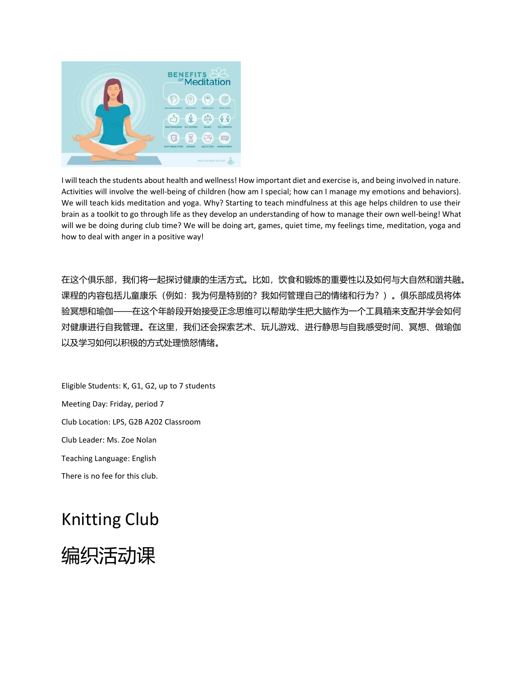

I will teach the students about health and wellness! How important diet and exercise is, and being involved in nature. Activities will involve the well-being of children (how am I special; how can I manage my emotions and behaviors). We will teach kids meditation and yoga. Why? Starting to teach mindfulness at this age helps children to use their brain as a toolkit to go through life as they develop an understanding of how to manage their own well-being! What will we be doing during club time? We will be doing art, games, quiet time, my feelings time, meditation, yoga and how to deal with anger in a positive way!

在这个俱乐部,我们将一起探讨健康的生活方式。比如,饮食和锻炼的重要性以及如何与大自然和谐共融。 课程的内容包括儿童康乐(例如:我为何是特别的?我如何管理自己的情绪和行为?)。俱乐部成员将体 验冥想和瑜伽——在这个年龄段开始接受正念思维可以帮助学生把大脑作为一个工具箱来支配并学会如何 对健康进行自我管理。在这里,我们还会探索艺术、玩儿游戏、进行静思与自我感受时间、冥想、做瑜伽 以及学习如何以积极的方式处理愤怒情绪。

Eligible Students: K, G1, G2, up to 7 students Meeting Day: Friday, period 7 Club Location: LPS, G2B A202 Classroom Club Leader: Ms. Zoe Nolan Teaching Language: English There is no fee for this club.

# Knitting Club

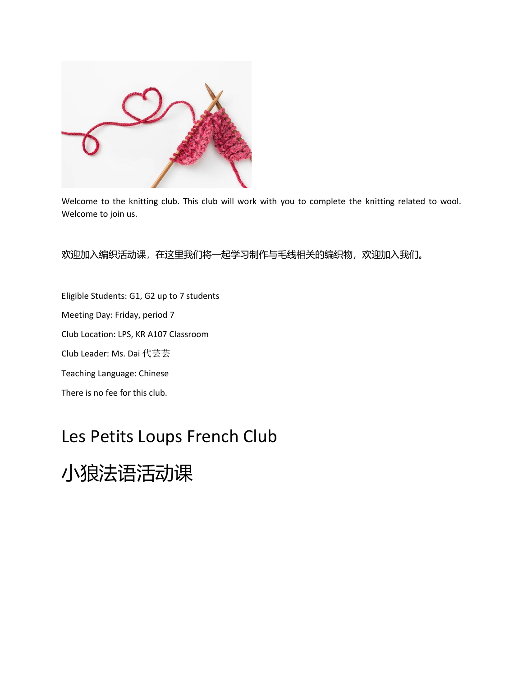

Welcome to the knitting club. This club will work with you to complete the knitting related to wool. Welcome to join us.

欢迎加入编织活动课,在这里我们将一起学习制作与毛线相关的编织物,欢迎加入我们。

Eligible Students: G1, G2 up to 7 students Meeting Day: Friday, period 7 Club Location: LPS, KR A107 Classroom Club Leader: Ms. Dai 代芸芸 Teaching Language: Chinese There is no fee for this club.

## Les Petits Loups French Club

小狼法语活动课